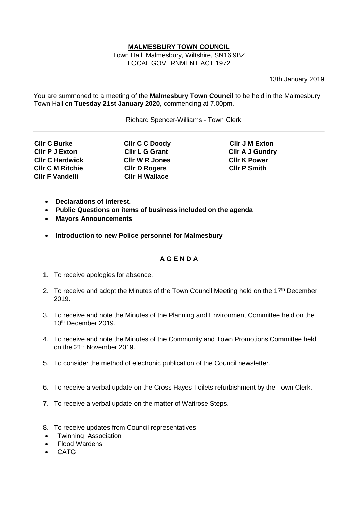## **MALMESBURY TOWN COUNCIL**

Town Hall. Malmesbury, Wiltshire, SN16 9BZ LOCAL GOVERNMENT ACT 1972

13th January 2019

You are summoned to a meeting of the **Malmesbury Town Council** to be held in the Malmesbury Town Hall on **Tuesday 21st January 2020**, commencing at 7.00pm.

Richard Spencer-Williams - Town Clerk

| <b>CIIr C Burke</b>     |
|-------------------------|
| <b>CIIr P J Exton</b>   |
| <b>CIIr C Hardwick</b>  |
| <b>CIIr C M Ritchie</b> |
| <b>CIIr F Vandelli</b>  |

**CIIr W R Jones CIIr K Power<br>
CIIr D Rogers CIIr P Smith Cllr D Rogers Cllr H Wallace** 

**Cllr C C Doody** Cllr J M Exton **Cllr L G Grant Cllr A J Gundry** 

- **Declarations of interest.**
- **Public Questions on items of business included on the agenda**
- **Mayors Announcements**
- **Introduction to new Police personnel for Malmesbury**

## **A G E N D A**

- 1. To receive apologies for absence.
- 2. To receive and adopt the Minutes of the Town Council Meeting held on the 17<sup>th</sup> December 2019.
- 3. To receive and note the Minutes of the Planning and Environment Committee held on the 10<sup>th</sup> December 2019.
- 4. To receive and note the Minutes of the Community and Town Promotions Committee held on the 21st November 2019.
- 5. To consider the method of electronic publication of the Council newsletter.
- 6. To receive a verbal update on the Cross Hayes Toilets refurbishment by the Town Clerk.
- 7. To receive a verbal update on the matter of Waitrose Steps.
- 8. To receive updates from Council representatives
- Twinning Association
- Flood Wardens
- CATG